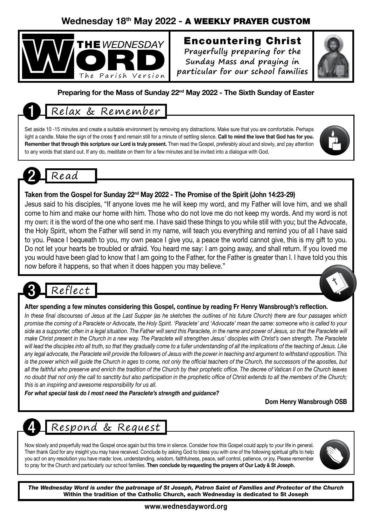### Wednesday 18th May 2022 - A WEEKLY PRAYER CUSTOM



## Encountering Christ

**Prayerfully preparing for the Sunday Mass and praying in particular for our school families**



#### Preparing for the Mass of Sunday 22<sup>nd</sup> May 2022 - The Sixth Sunday of Easter

## 1 Relax & Remember

Set aside 10 -15 minutes and create a suitable environment by removing any distractions. Make sure that you are comfortable. Perhaps light a candle. Make the sign of the cross † and remain still for a minute of settling silence. Call to mind the love that God has for you. Remember that through this scripture our Lord is truly present. Then read the Gospel, preferably aloud and slowly, and pay attention to any words that stand out. If any do, meditate on them for a few minutes and be invited into a dialogue with God.



#### Taken from the Gospel for Sunday 22<sup>nd</sup> May 2022 - The Promise of the Spirit (John 14:23-29)

Jesus said to his disciples, "If anyone loves me he will keep my word, and my Father will love him, and we shall come to him and make our home with him. Those who do not love me do not keep my words. And my word is not my own: it is the word of the one who sent me. I have said these things to you while still with you; but the Advocate, the Holy Spirit, whom the Father will send in my name, will teach you everything and remind you of all I have said to you. Peace I bequeath to you, my own peace I give you, a peace the world cannot give, this is my gift to you. Do not let your hearts be troubled or afraid. You heard me say: I am going away, and shall return. If you loved me you would have been glad to know that I am going to the Father, for the Father is greater than I. I have told you this now before it happens, so that when it does happen you may believe."

# Reflect

#### After spending a few minutes considering this Gospel, continue by reading Fr Henry Wansbrough's reflection.

*In these final discourses of Jesus at the Last Supper (as he sketches the outlines of his future Church) there are four passages which promise the coming of a Paraclete or Advocate, the Holy Spirit. 'Paraclete' and 'Advocate' mean the same: someone who is called to your side as a supporter, often in a legal situation. The Father will send this Paraclete, in the name and power of Jesus, so that the Paraclete will make Christ present in the Church in a new way. The Paraclete will strengthen Jesus' disciples with Christ's own strength. The Paraclete*  will lead the disciples into all truth, so that they gradually come to a fuller understanding of all the implications of the teaching of Jesus. Like *any legal advocate, the Paraclete will provide the followers of Jesus with the power in teaching and argument to withstand opposition. This*  is the power which will guide the Church in ages to come, not only the official teachers of the Church, the successors of the apostles, but *all the faithful who preserve and enrich the tradition of the Church by their prophetic office. The decree of Vatican II on the Church leaves no doubt that not only the call to sanctity but also participation in the prophetic office of Christ extends to all the members of the Church; this is an inspiring and awesome responsibility for us all.*

*For what special task do I most need the Paraclete's strength and guidance?*

Dom Henry Wansbrough OSB

4 Respond & Request

Now slowly and prayerfully read the Gospel once again but this time in silence. Consider how this Gospel could apply to your life in general. Then thank God for any insight you may have received. Conclude by asking God to bless you with one of the following spiritual gifts to help you act on any resolution you have made: love, understanding, wisdom, faithfulness, peace, self control, patience, or joy. Please remember to pray for the Church and particularly our school families. Then conclude by requesting the prayers of Our Lady & St Joseph.



*The Wednesday Word is under the patronage of St Joseph, Patron Saint of Families and Protector of the Church* Within the tradition of the Catholic Church, each Wednesday is dedicated to St Joseph